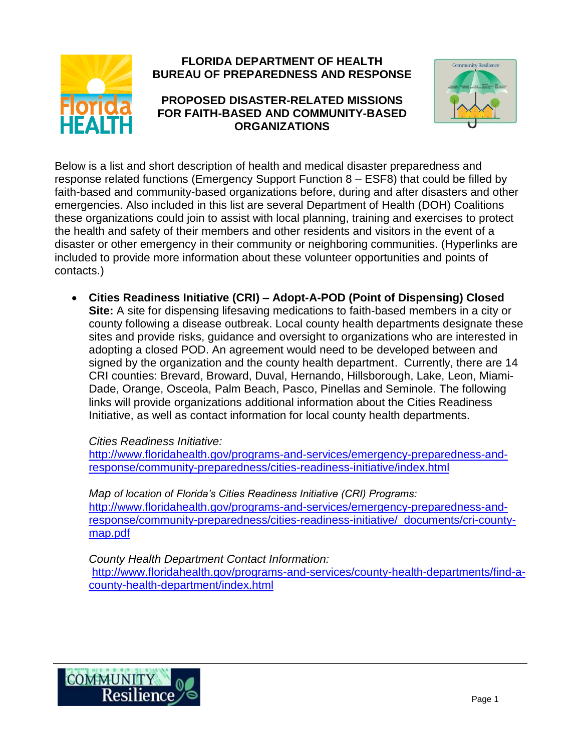

## **FLORIDA DEPARTMENT OF HEALTH BUREAU OF PREPAREDNESS AND RESPONSE**

## **PROPOSED DISASTER-RELATED MISSIONS FOR FAITH-BASED AND COMMUNITY-BASED ORGANIZATIONS**



Below is a list and short description of health and medical disaster preparedness and response related functions (Emergency Support Function 8 – ESF8) that could be filled by faith-based and community-based organizations before, during and after disasters and other emergencies. Also included in this list are several Department of Health (DOH) Coalitions these organizations could join to assist with local planning, training and exercises to protect the health and safety of their members and other residents and visitors in the event of a disaster or other emergency in their community or neighboring communities. (Hyperlinks are included to provide more information about these volunteer opportunities and points of contacts.)

 **Cities Readiness Initiative (CRI) – Adopt-A-POD (Point of Dispensing) Closed Site:** A site for dispensing lifesaving medications to faith-based members in a city or county following a disease outbreak. Local county health departments designate these sites and provide risks, guidance and oversight to organizations who are interested in adopting a closed POD. An agreement would need to be developed between and signed by the organization and the county health department. Currently, there are 14 CRI counties: Brevard, Broward, Duval, Hernando, Hillsborough, Lake, Leon, Miami-Dade, Orange, Osceola, Palm Beach, Pasco, Pinellas and Seminole. The following links will provide organizations additional information about the Cities Readiness Initiative, as well as contact information for local county health departments.

## *Cities Readiness Initiative:*

[http://www.floridahealth.gov/programs-and-services/emergency-preparedness-and](http://www.floridahealth.gov/programs-and-services/emergency-preparedness-and-response/community-preparedness/cities-readiness-initiative/index.html)[response/community-preparedness/cities-readiness-initiative/index.html](http://www.floridahealth.gov/programs-and-services/emergency-preparedness-and-response/community-preparedness/cities-readiness-initiative/index.html)

*Map of location of Florida's Cities Readiness Initiative (CRI) Programs:* [http://www.floridahealth.gov/programs-and-services/emergency-preparedness-and](http://www.floridahealth.gov/programs-and-services/emergency-preparedness-and-response/community-preparedness/cities-readiness-initiative/_documents/cri-county-map.pdf)[response/community-preparedness/cities-readiness-initiative/\\_documents/cri-county](http://www.floridahealth.gov/programs-and-services/emergency-preparedness-and-response/community-preparedness/cities-readiness-initiative/_documents/cri-county-map.pdf)[map.pdf](http://www.floridahealth.gov/programs-and-services/emergency-preparedness-and-response/community-preparedness/cities-readiness-initiative/_documents/cri-county-map.pdf)

*County Health Department Contact Information:* [http://www.floridahealth.gov/programs-and-services/county-health-departments/find-a](http://www.floridahealth.gov/programs-and-services/county-health-departments/find-a-county-health-department/index.html)[county-health-department/index.html](http://www.floridahealth.gov/programs-and-services/county-health-departments/find-a-county-health-department/index.html)

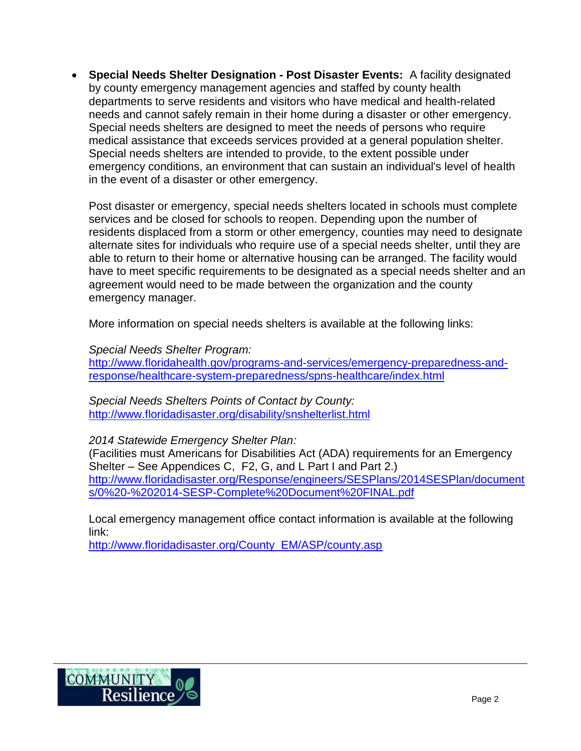**Special Needs Shelter Designation - Post Disaster Events:** A facility designated by county emergency management agencies and staffed by county health departments to serve residents and visitors who have medical and health-related needs and cannot safely remain in their home during a disaster or other emergency. Special needs shelters are designed to meet the needs of persons who require medical assistance that exceeds services provided at a general population shelter. Special needs shelters are intended to provide, to the extent possible under emergency conditions, an environment that can sustain an individual's level of health in the event of a disaster or other emergency.

Post disaster or emergency, special needs shelters located in schools must complete services and be closed for schools to reopen. Depending upon the number of residents displaced from a storm or other emergency, counties may need to designate alternate sites for individuals who require use of a special needs shelter, until they are able to return to their home or alternative housing can be arranged. The facility would have to meet specific requirements to be designated as a special needs shelter and an agreement would need to be made between the organization and the county emergency manager.

More information on special needs shelters is available at the following links:

*Special Needs Shelter Program:*

[http://www.floridahealth.gov/programs-and-services/emergency-preparedness-and](http://www.floridahealth.gov/programs-and-services/emergency-preparedness-and-response/healthcare-system-preparedness/spns-healthcare/index.html)[response/healthcare-system-preparedness/spns-healthcare/index.html](http://www.floridahealth.gov/programs-and-services/emergency-preparedness-and-response/healthcare-system-preparedness/spns-healthcare/index.html)

*Special Needs Shelters Points of Contact by County:*  <http://www.floridadisaster.org/disability/snshelterlist.html>

*2014 Statewide Emergency Shelter Plan:*

(Facilities must Americans for Disabilities Act (ADA) requirements for an Emergency Shelter – See Appendices C, F2, G, and L Part I and Part 2.) [http://www.floridadisaster.org/Response/engineers/SESPlans/2014SESPlan/document](http://www.floridadisaster.org/Response/engineers/SESPlans/2014SESPlan/documents/0%20-%202014-SESP-Complete%20Document%20FINAL.pdf) [s/0%20-%202014-SESP-Complete%20Document%20FINAL.pdf](http://www.floridadisaster.org/Response/engineers/SESPlans/2014SESPlan/documents/0%20-%202014-SESP-Complete%20Document%20FINAL.pdf)

Local emergency management office contact information is available at the following link:

[http://www.floridadisaster.org/County\\_EM/ASP/county.asp](http://www.floridadisaster.org/County_EM/ASP/county.asp)

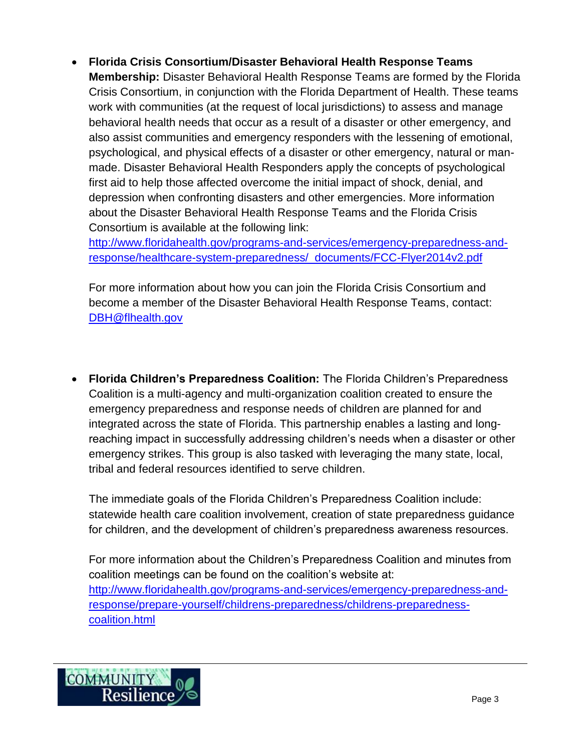**Florida Crisis Consortium/Disaster Behavioral Health Response Teams Membership:** Disaster Behavioral Health Response Teams are formed by the Florida Crisis Consortium, in conjunction with the Florida Department of Health. These teams work with communities (at the request of local jurisdictions) to assess and manage behavioral health needs that occur as a result of a disaster or other emergency, and also assist communities and emergency responders with the lessening of emotional, psychological, and physical effects of a disaster or other emergency, natural or manmade. Disaster Behavioral Health Responders apply the concepts of psychological first aid to help those affected overcome the initial impact of shock, denial, and depression when confronting disasters and other emergencies. More information about the Disaster Behavioral Health Response Teams and the Florida Crisis Consortium is available at the following link:

[http://www.floridahealth.gov/programs-and-services/emergency-preparedness-and](http://www.floridahealth.gov/programs-and-services/emergency-preparedness-and-response/healthcare-system-preparedness/_documents/FCC-Flyer2014v2.pdf)[response/healthcare-system-preparedness/\\_documents/FCC-Flyer2014v2.pdf](http://www.floridahealth.gov/programs-and-services/emergency-preparedness-and-response/healthcare-system-preparedness/_documents/FCC-Flyer2014v2.pdf)

For more information about how you can join the Florida Crisis Consortium and become a member of the Disaster Behavioral Health Response Teams, contact: [DBH@flhealth.gov](mailto:DBH@flhealth.gov)

 **Florida Children's Preparedness Coalition:** The Florida Children's Preparedness Coalition is a multi-agency and multi-organization coalition created to ensure the emergency preparedness and response needs of children are planned for and integrated across the state of Florida. This partnership enables a lasting and longreaching impact in successfully addressing children's needs when a disaster or other emergency strikes. This group is also tasked with leveraging the many state, local, tribal and federal resources identified to serve children.

The immediate goals of the Florida Children's Preparedness Coalition include: statewide health care coalition involvement, creation of state preparedness guidance for children, and the development of children's preparedness awareness resources.

For more information about the Children's Preparedness Coalition and minutes from coalition meetings can be found on the coalition's website at: [http://www.floridahealth.gov/programs-and-services/emergency-preparedness-and](http://www.floridahealth.gov/programs-and-services/emergency-preparedness-and-response/prepare-yourself/childrens-preparedness/childrens-preparedness-coalition.html)[response/prepare-yourself/childrens-preparedness/childrens-preparedness](http://www.floridahealth.gov/programs-and-services/emergency-preparedness-and-response/prepare-yourself/childrens-preparedness/childrens-preparedness-coalition.html)[coalition.html](http://www.floridahealth.gov/programs-and-services/emergency-preparedness-and-response/prepare-yourself/childrens-preparedness/childrens-preparedness-coalition.html)

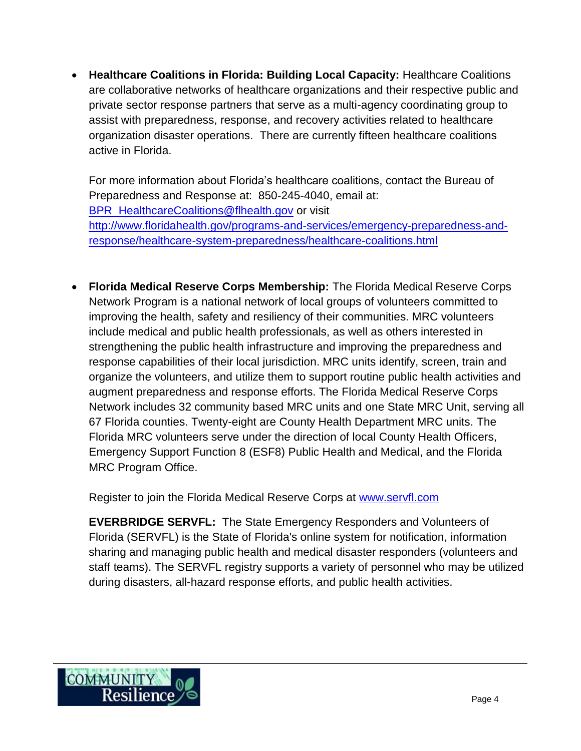**Healthcare Coalitions in Florida: Building Local Capacity:** Healthcare Coalitions are collaborative networks of healthcare organizations and their respective public and private sector response partners that serve as a multi-agency coordinating group to assist with preparedness, response, and recovery activities related to healthcare organization disaster operations. There are currently fifteen healthcare coalitions active in Florida.

For more information about Florida's healthcare coalitions, contact the Bureau of Preparedness and Response at: 850-245-4040, email at: [BPR\\_HealthcareCoalitions@flhealth.gov](mailto:BPR_HealthcareCoalitions@flhealth.gov) or visit [http://www.floridahealth.gov/programs-and-services/emergency-preparedness-and](http://www.floridahealth.gov/programs-and-services/emergency-preparedness-and-response/healthcare-system-preparedness/healthcare-coalitions.html)[response/healthcare-system-preparedness/healthcare-coalitions.html](http://www.floridahealth.gov/programs-and-services/emergency-preparedness-and-response/healthcare-system-preparedness/healthcare-coalitions.html)

 **Florida Medical Reserve Corps Membership:** The Florida Medical Reserve Corps Network Program is a national network of local groups of volunteers committed to improving the health, safety and resiliency of their communities. MRC volunteers include medical and public health professionals, as well as others interested in strengthening the public health infrastructure and improving the preparedness and response capabilities of their local jurisdiction. MRC units identify, screen, train and organize the volunteers, and utilize them to support routine public health activities and augment preparedness and response efforts. The Florida Medical Reserve Corps Network includes 32 community based MRC units and one State MRC Unit, serving all 67 Florida counties. Twenty-eight are County Health Department MRC units. The Florida MRC volunteers serve under the direction of local County Health Officers, Emergency Support Function 8 (ESF8) Public Health and Medical, and the Florida MRC Program Office.

Register to join the Florida Medical Reserve Corps at [www.servfl.com](http://www.servfl.com/)

**EVERBRIDGE SERVFL:** The State Emergency Responders and Volunteers of Florida (SERVFL) is the State of Florida's online system for notification, information sharing and managing public health and medical disaster responders (volunteers and staff teams). The SERVFL registry supports a variety of personnel who may be utilized during disasters, all-hazard response efforts, and public health activities.

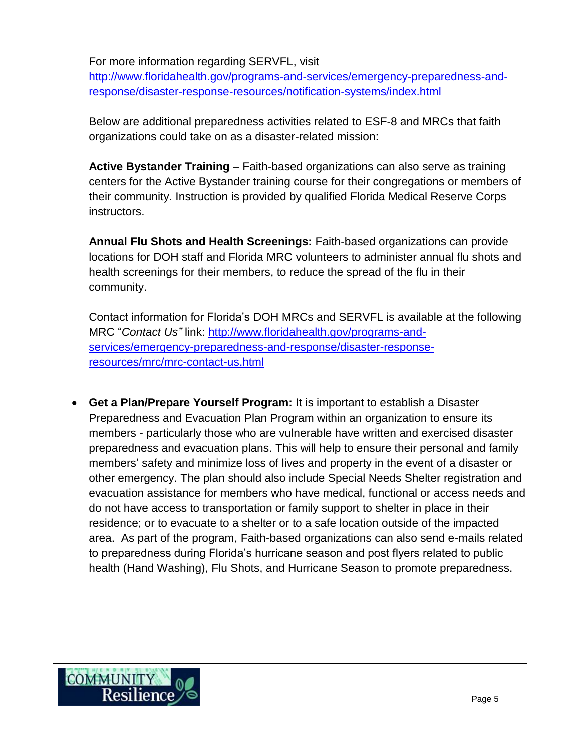For more information regarding SERVFL, visit

[http://www.floridahealth.gov/programs-and-services/emergency-preparedness-and](http://www.floridahealth.gov/programs-and-services/emergency-preparedness-and-response/disaster-response-resources/notification-systems/index.html)[response/disaster-response-resources/notification-systems/index.html](http://www.floridahealth.gov/programs-and-services/emergency-preparedness-and-response/disaster-response-resources/notification-systems/index.html)

Below are additional preparedness activities related to ESF-8 and MRCs that faith organizations could take on as a disaster-related mission:

**Active Bystander Training** – Faith-based organizations can also serve as training centers for the Active Bystander training course for their congregations or members of their community. Instruction is provided by qualified Florida Medical Reserve Corps instructors.

**Annual Flu Shots and Health Screenings:** Faith-based organizations can provide locations for DOH staff and Florida MRC volunteers to administer annual flu shots and health screenings for their members, to reduce the spread of the flu in their community.

Contact information for Florida's DOH MRCs and SERVFL is available at the following MRC "*Contact Us"* link: [http://www.floridahealth.gov/programs-and](http://www.floridahealth.gov/programs-and-services/emergency-preparedness-and-response/disaster-response-resources/mrc/mrc-contact-us.html)[services/emergency-preparedness-and-response/disaster-response](http://www.floridahealth.gov/programs-and-services/emergency-preparedness-and-response/disaster-response-resources/mrc/mrc-contact-us.html)[resources/mrc/mrc-contact-us.html](http://www.floridahealth.gov/programs-and-services/emergency-preparedness-and-response/disaster-response-resources/mrc/mrc-contact-us.html)

 **Get a Plan/Prepare Yourself Program:** It is important to establish a Disaster Preparedness and Evacuation Plan Program within an organization to ensure its members - particularly those who are vulnerable have written and exercised disaster preparedness and evacuation plans. This will help to ensure their personal and family members' safety and minimize loss of lives and property in the event of a disaster or other emergency. The plan should also include Special Needs Shelter registration and evacuation assistance for members who have medical, functional or access needs and do not have access to transportation or family support to shelter in place in their residence; or to evacuate to a shelter or to a safe location outside of the impacted area. As part of the program, Faith-based organizations can also send e-mails related to preparedness during Florida's hurricane season and post flyers related to public health (Hand Washing), Flu Shots, and Hurricane Season to promote preparedness.